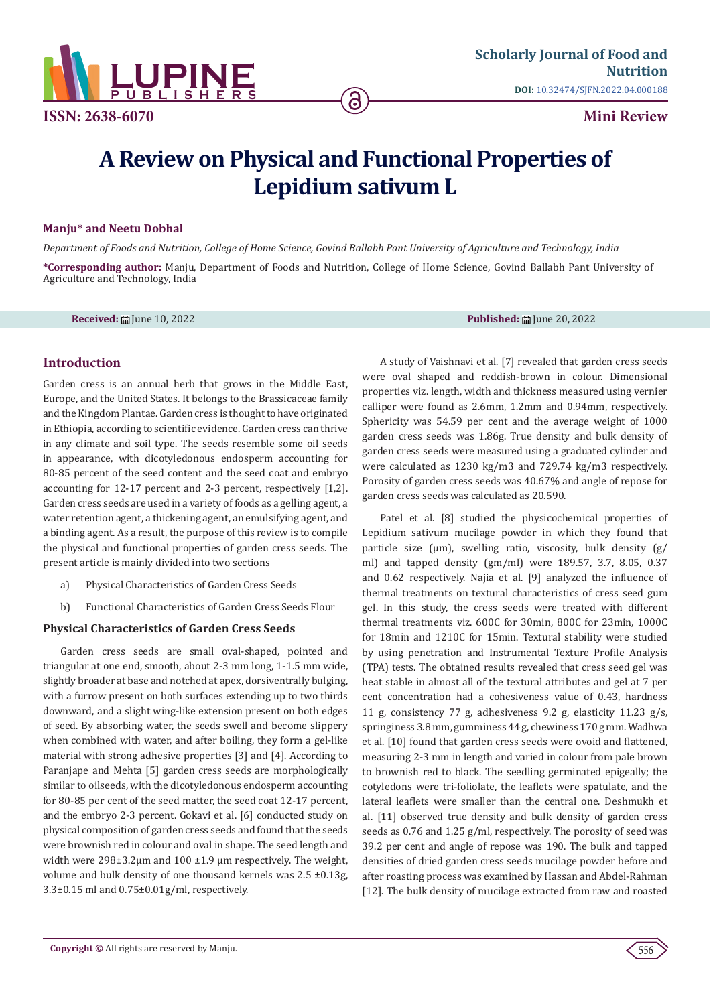

**ISSN: 2638-6070**

**Mini Review** 

# **A Review on Physical and Functional Properties of Lepidium sativum L**

6

# **Manju\* and Neetu Dobhal**

*Department of Foods and Nutrition, College of Home Science, Govind Ballabh Pant University of Agriculture and Technology, India*

**\*Corresponding author:** Manju, Department of Foods and Nutrition, College of Home Science, Govind Ballabh Pant University of Agriculture and Technology, India

**Received:** June 10, 2022 **Published:** June 20, 2022

# **Introduction**

Garden cress is an annual herb that grows in the Middle East, Europe, and the United States. It belongs to the Brassicaceae family and the Kingdom Plantae. Garden cress is thought to have originated in Ethiopia, according to scientific evidence. Garden cress can thrive in any climate and soil type. The seeds resemble some oil seeds in appearance, with dicotyledonous endosperm accounting for 80-85 percent of the seed content and the seed coat and embryo accounting for 12-17 percent and 2-3 percent, respectively [1,2]. Garden cress seeds are used in a variety of foods as a gelling agent, a water retention agent, a thickening agent, an emulsifying agent, and a binding agent. As a result, the purpose of this review is to compile the physical and functional properties of garden cress seeds. The present article is mainly divided into two sections

- a) Physical Characteristics of Garden Cress Seeds
- b) Functional Characteristics of Garden Cress Seeds Flour

#### **Physical Characteristics of Garden Cress Seeds**

Garden cress seeds are small oval-shaped, pointed and triangular at one end, smooth, about 2-3 mm long, 1-1.5 mm wide, slightly broader at base and notched at apex, dorsiventrally bulging, with a furrow present on both surfaces extending up to two thirds downward, and a slight wing-like extension present on both edges of seed. By absorbing water, the seeds swell and become slippery when combined with water, and after boiling, they form a gel-like material with strong adhesive properties [3] and [4]. According to Paranjape and Mehta [5] garden cress seeds are morphologically similar to oilseeds, with the dicotyledonous endosperm accounting for 80-85 per cent of the seed matter, the seed coat 12-17 percent, and the embryo 2-3 percent. Gokavi et al. [6] conducted study on physical composition of garden cress seeds and found that the seeds were brownish red in colour and oval in shape. The seed length and width were 298±3.2µm and 100 ±1.9 µm respectively. The weight, volume and bulk density of one thousand kernels was 2.5 ±0.13g, 3.3±0.15 ml and 0.75±0.01g/ml, respectively.

A study of Vaishnavi et al. [7] revealed that garden cress seeds were oval shaped and reddish-brown in colour. Dimensional properties viz. length, width and thickness measured using vernier calliper were found as 2.6mm, 1.2mm and 0.94mm, respectively. Sphericity was 54.59 per cent and the average weight of 1000 garden cress seeds was 1.86g. True density and bulk density of garden cress seeds were measured using a graduated cylinder and were calculated as 1230 kg/m3 and 729.74 kg/m3 respectively. Porosity of garden cress seeds was 40.67% and angle of repose for garden cress seeds was calculated as 20.590.

Patel et al. [8] studied the physicochemical properties of Lepidium sativum mucilage powder in which they found that particle size (µm), swelling ratio, viscosity, bulk density (g/ ml) and tapped density (gm/ml) were 189.57, 3.7, 8.05, 0.37 and 0.62 respectively. Najia et al. [9] analyzed the influence of thermal treatments on textural characteristics of cress seed gum gel. In this study, the cress seeds were treated with different thermal treatments viz. 600C for 30min, 800C for 23min, 1000C for 18min and 1210C for 15min. Textural stability were studied by using penetration and Instrumental Texture Profile Analysis (TPA) tests. The obtained results revealed that cress seed gel was heat stable in almost all of the textural attributes and gel at 7 per cent concentration had a cohesiveness value of 0.43, hardness 11 g, consistency 77 g, adhesiveness 9.2 g, elasticity 11.23 g/s, springiness 3.8 mm, gumminess 44 g, chewiness 170 g mm. Wadhwa et al. [10] found that garden cress seeds were ovoid and flattened, measuring 2-3 mm in length and varied in colour from pale brown to brownish red to black. The seedling germinated epigeally; the cotyledons were tri-foliolate, the leaflets were spatulate, and the lateral leaflets were smaller than the central one. Deshmukh et al. [11] observed true density and bulk density of garden cress seeds as 0.76 and 1.25 g/ml, respectively. The porosity of seed was 39.2 per cent and angle of repose was 190. The bulk and tapped densities of dried garden cress seeds mucilage powder before and after roasting process was examined by Hassan and Abdel-Rahman [12]. The bulk density of mucilage extracted from raw and roasted

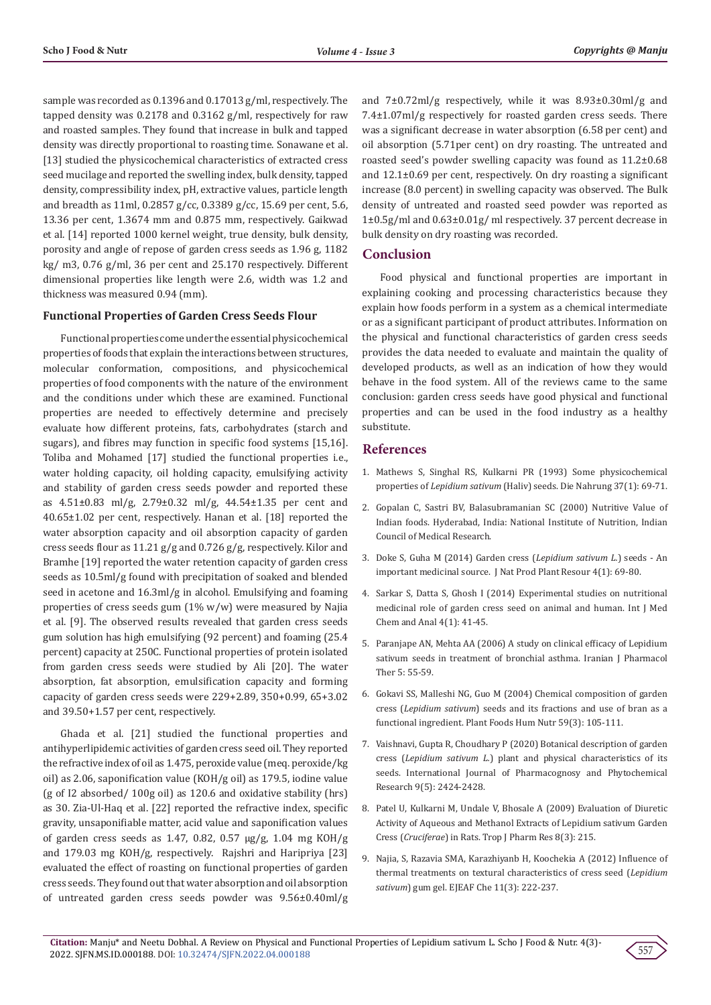sample was recorded as 0.1396 and 0.17013 g/ml, respectively. The tapped density was 0.2178 and 0.3162 g/ml, respectively for raw and roasted samples. They found that increase in bulk and tapped density was directly proportional to roasting time. Sonawane et al. [13] studied the physicochemical characteristics of extracted cress seed mucilage and reported the swelling index, bulk density, tapped density, compressibility index, pH, extractive values, particle length and breadth as 11ml, 0.2857 g/cc, 0.3389 g/cc, 15.69 per cent, 5.6, 13.36 per cent, 1.3674 mm and 0.875 mm, respectively. Gaikwad et al. [14] reported 1000 kernel weight, true density, bulk density, porosity and angle of repose of garden cress seeds as 1.96 g, 1182 kg/ m3, 0.76 g/ml, 36 per cent and 25.170 respectively. Different dimensional properties like length were 2.6, width was 1.2 and thickness was measured 0.94 (mm).

#### **Functional Properties of Garden Cress Seeds Flour**

Functional properties come under the essential physicochemical properties of foods that explain the interactions between structures, molecular conformation, compositions, and physicochemical properties of food components with the nature of the environment and the conditions under which these are examined. Functional properties are needed to effectively determine and precisely evaluate how different proteins, fats, carbohydrates (starch and sugars), and fibres may function in specific food systems [15,16]. Toliba and Mohamed [17] studied the functional properties i.e., water holding capacity, oil holding capacity, emulsifying activity and stability of garden cress seeds powder and reported these as 4.51±0.83 ml/g, 2.79±0.32 ml/g, 44.54±1.35 per cent and 40.65±1.02 per cent, respectively. Hanan et al. [18] reported the water absorption capacity and oil absorption capacity of garden cress seeds flour as 11.21 g/g and 0.726 g/g, respectively. Kilor and Bramhe [19] reported the water retention capacity of garden cress seeds as 10.5ml/g found with precipitation of soaked and blended seed in acetone and 16.3ml/g in alcohol. Emulsifying and foaming properties of cress seeds gum (1% w/w) were measured by Najia et al. [9]. The observed results revealed that garden cress seeds gum solution has high emulsifying (92 percent) and foaming (25.4 percent) capacity at 250C. Functional properties of protein isolated from garden cress seeds were studied by Ali [20]. The water absorption, fat absorption, emulsification capacity and forming capacity of garden cress seeds were 229+2.89, 350+0.99, 65+3.02 and 39.50+1.57 per cent, respectively.

Ghada et al. [21] studied the functional properties and antihyperlipidemic activities of garden cress seed oil. They reported the refractive index of oil as 1.475, peroxide value (meq. peroxide/kg oil) as 2.06, saponification value (KOH/g oil) as 179.5, iodine value (g of I2 absorbed/ 100g oil) as 120.6 and oxidative stability (hrs) as 30. Zia-Ul-Haq et al. [22] reported the refractive index, specific gravity, unsaponifiable matter, acid value and saponification values of garden cress seeds as 1.47, 0.82, 0.57 µg/g, 1.04 mg KOH/g and 179.03 mg KOH/g, respectively. Rajshri and Haripriya [23] evaluated the effect of roasting on functional properties of garden cress seeds. They found out that water absorption and oil absorption of untreated garden cress seeds powder was 9.56±0.40ml/g and 7±0.72ml/g respectively, while it was 8.93±0.30ml/g and 7.4±1.07ml/g respectively for roasted garden cress seeds. There was a significant decrease in water absorption (6.58 per cent) and oil absorption (5.71per cent) on dry roasting. The untreated and roasted seed's powder swelling capacity was found as 11.2±0.68 and 12.1±0.69 per cent, respectively. On dry roasting a significant increase (8.0 percent) in swelling capacity was observed. The Bulk density of untreated and roasted seed powder was reported as 1±0.5g/ml and 0.63±0.01g/ ml respectively. 37 percent decrease in bulk density on dry roasting was recorded.

### **Conclusion**

Food physical and functional properties are important in explaining cooking and processing characteristics because they explain how foods perform in a system as a chemical intermediate or as a significant participant of product attributes. Information on the physical and functional characteristics of garden cress seeds provides the data needed to evaluate and maintain the quality of developed products, as well as an indication of how they would behave in the food system. All of the reviews came to the same conclusion: garden cress seeds have good physical and functional properties and can be used in the food industry as a healthy substitute.

### **References**

- 1. [Mathews S, Singhal RS, Kulkarni PR \(1993\) Some physicochemical](https://onlinelibrary.wiley.com/doi/10.1002/food.19930370113) properties of *Lepidium sativum* [\(Haliv\) seeds. Die Nahrung 37\(1\): 69-71.](https://onlinelibrary.wiley.com/doi/10.1002/food.19930370113)
- 2. Gopalan C, Sastri BV, Balasubramanian SC (2000) Nutritive Value of Indian foods. Hyderabad, India: National Institute of Nutrition, Indian Council of Medical Research.
- 3. Doke S, Guha M (2014) Garden cress (*Lepidium sativum L.*) seeds An important medicinal source. J Nat Prod Plant Resour 4(1): 69-80.
- 4. [Sarkar S, Datta S, Ghosh I \(2014\) Experimental studies on nutritional](https://1library.net/document/q2kk7pjq-experimental-studies-nutritional-medicinal-garden-cress-animal-review.html) [medicinal role of garden cress seed on animal and human. Int J Med](https://1library.net/document/q2kk7pjq-experimental-studies-nutritional-medicinal-garden-cress-animal-review.html) [Chem and Anal 4\(1\): 41-45.](https://1library.net/document/q2kk7pjq-experimental-studies-nutritional-medicinal-garden-cress-animal-review.html)
- 5. [Paranjape AN, Mehta AA \(2006\) A study on clinical efficacy of Lepidium](http://www.bioline.org.br/pdf?pt06009) [sativum seeds in treatment of bronchial asthma. Iranian J Pharmacol](http://www.bioline.org.br/pdf?pt06009) [Ther 5: 55-59.](http://www.bioline.org.br/pdf?pt06009)
- 6. Gokavi SS, Malleshi NG, Guo M (2004) Chemical composition of garden cress (*Lepidium sativum*) seeds and its fractions and use of bran as a functional ingredient. Plant Foods Hum Nutr 59(3): 105-111.
- 7. [Vaishnavi, Gupta R, Choudhary P \(2020\) Botanical description of garden](https://www.phytojournal.com/archives/2020/vol9issue5/PartAH/9-5-426-683.pdf) cress (*Lepidium sativum L.*[\) plant and physical characteristics of its](https://www.phytojournal.com/archives/2020/vol9issue5/PartAH/9-5-426-683.pdf) [seeds. International Journal of Pharmacognosy and Phytochemical](https://www.phytojournal.com/archives/2020/vol9issue5/PartAH/9-5-426-683.pdf) [Research 9\(5\): 2424-2428.](https://www.phytojournal.com/archives/2020/vol9issue5/PartAH/9-5-426-683.pdf)
- 8. [Patel U, Kulkarni M, Undale V, Bhosale A \(2009\) Evaluation of Diuretic](https://www.ajol.info/index.php/tjpr/article/view/44536) [Activity of Aqueous and Methanol Extracts of Lepidium sativum Garden](https://www.ajol.info/index.php/tjpr/article/view/44536) Cress (*Cruciferae*[\) in Rats. Trop J Pharm Res 8\(3\): 215.](https://www.ajol.info/index.php/tjpr/article/view/44536)
- 9. [Najia, S, Razavia SMA, Karazhiyanb H, Koochekia A \(2012\) Influence of](https://www.researchgate.net/publication/233730928_Influence_of_thermal_treatments_on_textural_characteristics_of_cress_seed_Lepidium_sativum_gum_gel) [thermal treatments on textural characteristics of cress seed \(](https://www.researchgate.net/publication/233730928_Influence_of_thermal_treatments_on_textural_characteristics_of_cress_seed_Lepidium_sativum_gum_gel)*Lepidium sativum*[\) gum gel. EJEAF Che 11\(3\): 222-237.](https://www.researchgate.net/publication/233730928_Influence_of_thermal_treatments_on_textural_characteristics_of_cress_seed_Lepidium_sativum_gum_gel)